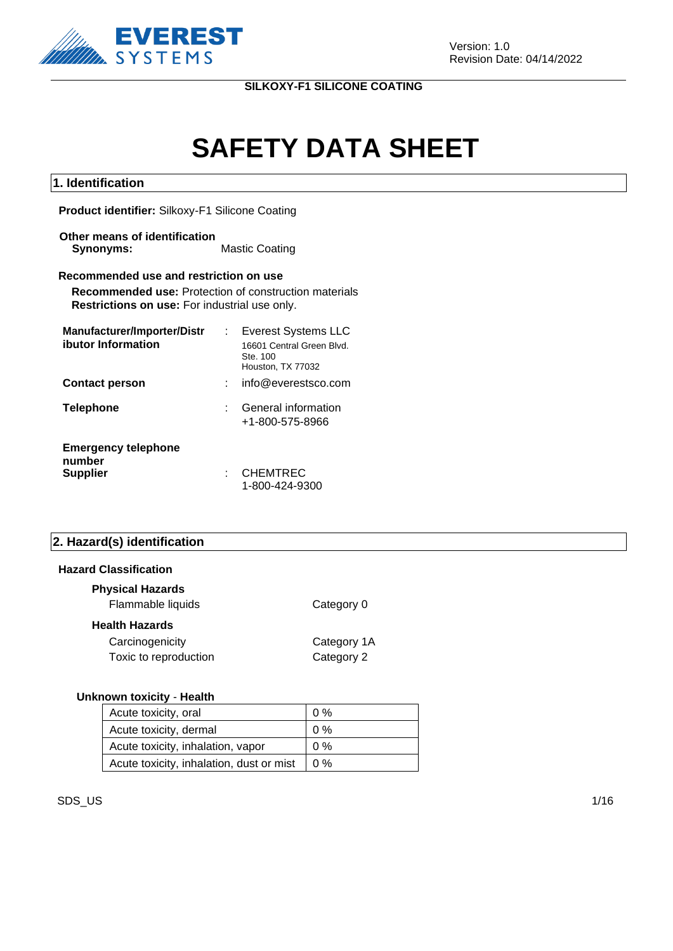

# **SAFETY DATA SHEET**

#### **1. Identification**

**Product identifier:** Silkoxy-F1 Silicone Coating

**Other means of identification Synonyms:** Mastic Coating

#### **Recommended use and restriction on use**

**Recommended use:** Protection of construction materials **Restrictions on use:** For industrial use only.

| Manufacturer/Importer/Distr          | <b>Everest Systems LLC</b>                                 |
|--------------------------------------|------------------------------------------------------------|
| ibutor Information                   | 16601 Central Green Blvd.<br>Ste. 100<br>Houston, TX 77032 |
| <b>Contact person</b>                | info@everestsco.com                                        |
| <b>Telephone</b>                     | General information<br>+1-800-575-8966                     |
| <b>Emergency telephone</b><br>number |                                                            |
| <b>Supplier</b>                      | <b>CHEMTREC</b><br>1-800-424-9300                          |

#### **2. Hazard(s) identification**

#### **Hazard Classification**

| <b>Physical Hazards</b><br>Flammable liquids | Category 0                |
|----------------------------------------------|---------------------------|
| <b>Health Hazards</b>                        |                           |
| Carcinogenicity<br>Toxic to reproduction     | Category 1A<br>Category 2 |

#### **Unknown toxicity** - **Health**

| Acute toxicity, oral                     | $0\%$ |
|------------------------------------------|-------|
| Acute toxicity, dermal                   | $0\%$ |
| Acute toxicity, inhalation, vapor        | $0\%$ |
| Acute toxicity, inhalation, dust or mist | 10%   |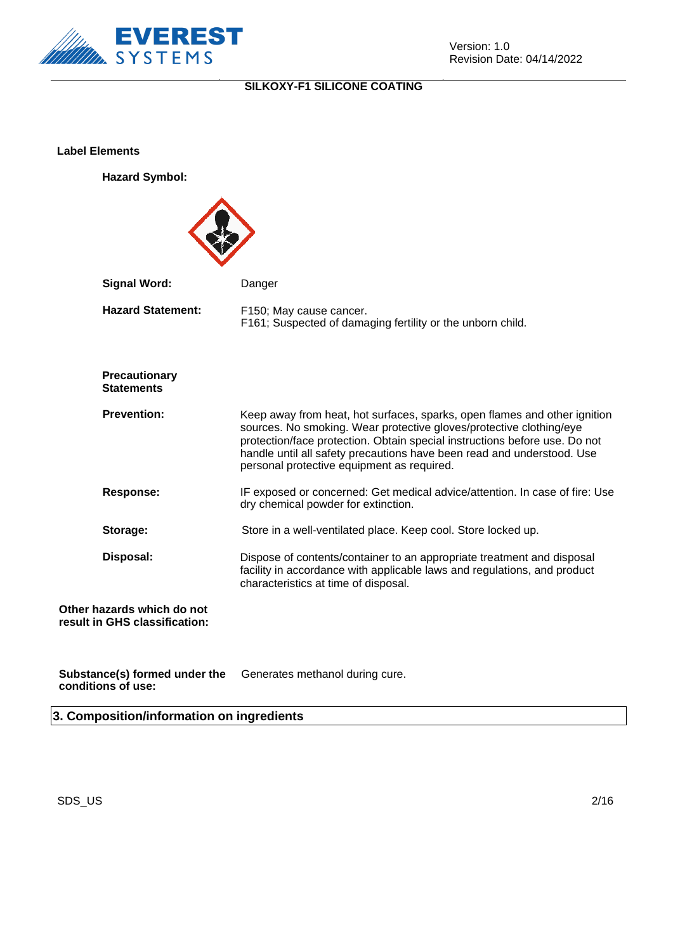

**Label Elements**

**Hazard Symbol:**



**Substance(s) formed under the conditions of use:** Generates methanol during cure.

**3. Composition/information on ingredients**

 $\mathsf{SDS}\_\mathsf{U}\mathsf{S}$  2/16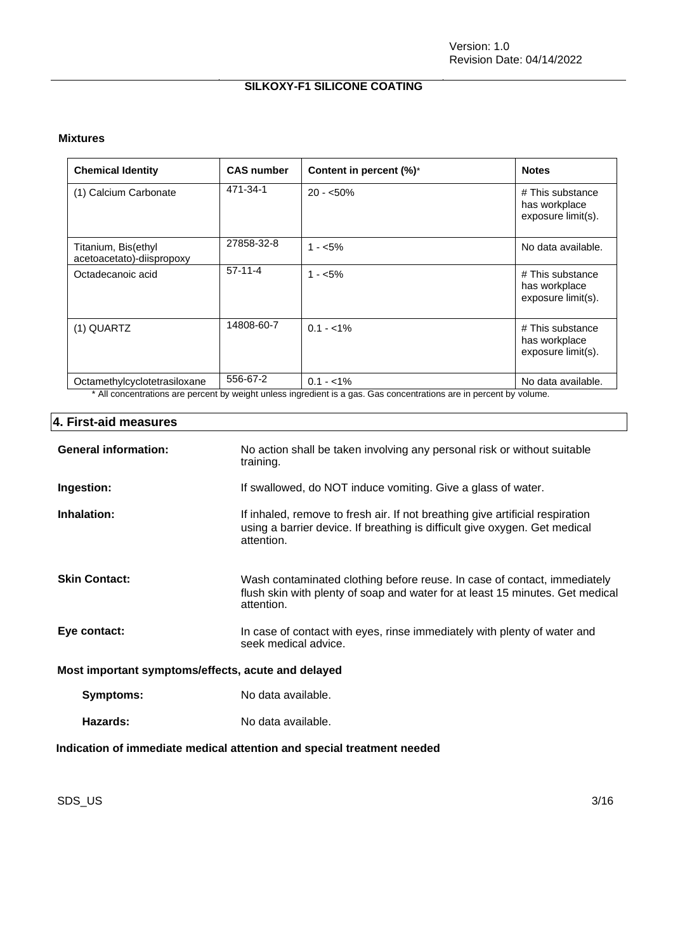#### **Mixtures**

| <b>Chemical Identity</b>                         | <b>CAS number</b> | Content in percent (%)*                                                                                                           | <b>Notes</b>                                            |
|--------------------------------------------------|-------------------|-----------------------------------------------------------------------------------------------------------------------------------|---------------------------------------------------------|
| (1) Calcium Carbonate                            | 471-34-1          | $20 - 50\%$                                                                                                                       | # This substance<br>has workplace<br>exposure limit(s). |
| Titanium, Bis(ethyl<br>acetoacetato)-diispropoxy | 27858-32-8        | $1 - 5\%$                                                                                                                         | No data available.                                      |
| Octadecanoic acid                                | $57 - 11 - 4$     | $1 - 5\%$                                                                                                                         | # This substance<br>has workplace<br>exposure limit(s). |
| (1) QUARTZ                                       | 14808-60-7        | $0.1 - 1\%$                                                                                                                       | # This substance<br>has workplace<br>exposure limit(s). |
| Octamethylcyclotetrasiloxane                     | 556-67-2          | $0.1 - 1\%$<br>* All conceptrations are persont by weight upleas ingradient is a gas. Cas conceptrations are in persont by valume | No data available.                                      |

All concentrations are percent by weight unless ingredient is a gas. Gas concentrations are in percent by volume.

#### **4. First-aid measures**

| <b>General information:</b>                                            | No action shall be taken involving any personal risk or without suitable<br>training.                                                                                     |  |
|------------------------------------------------------------------------|---------------------------------------------------------------------------------------------------------------------------------------------------------------------------|--|
| Ingestion:                                                             | If swallowed, do NOT induce vomiting. Give a glass of water.                                                                                                              |  |
| Inhalation:                                                            | If inhaled, remove to fresh air. If not breathing give artificial respiration<br>using a barrier device. If breathing is difficult give oxygen. Get medical<br>attention. |  |
| <b>Skin Contact:</b>                                                   | Wash contaminated clothing before reuse. In case of contact, immediately<br>flush skin with plenty of soap and water for at least 15 minutes. Get medical<br>attention.   |  |
| Eye contact:                                                           | In case of contact with eyes, rinse immediately with plenty of water and<br>seek medical advice.                                                                          |  |
| Most important symptoms/effects, acute and delayed                     |                                                                                                                                                                           |  |
| Symptoms:                                                              | No data available.                                                                                                                                                        |  |
| Hazards:                                                               | No data available.                                                                                                                                                        |  |
| Indication of immediate medical attention and special treatment needed |                                                                                                                                                                           |  |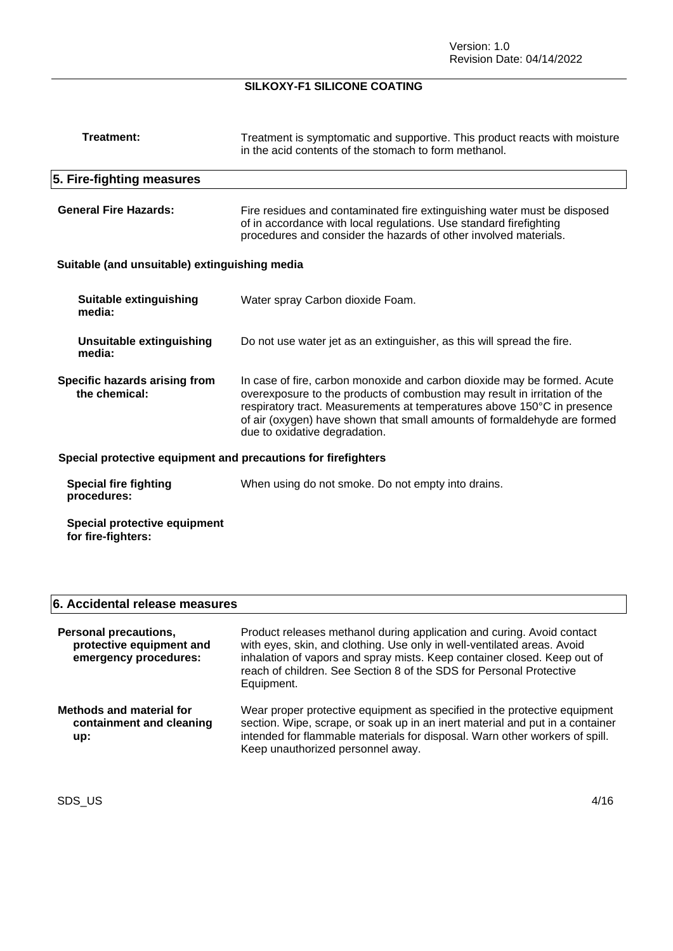| <b>Treatment:</b>                                             | Treatment is symptomatic and supportive. This product reacts with moisture<br>in the acid contents of the stomach to form methanol.                                                                                                                                                                                                            |  |
|---------------------------------------------------------------|------------------------------------------------------------------------------------------------------------------------------------------------------------------------------------------------------------------------------------------------------------------------------------------------------------------------------------------------|--|
| 5. Fire-fighting measures                                     |                                                                                                                                                                                                                                                                                                                                                |  |
| <b>General Fire Hazards:</b>                                  | Fire residues and contaminated fire extinguishing water must be disposed<br>of in accordance with local regulations. Use standard firefighting<br>procedures and consider the hazards of other involved materials.                                                                                                                             |  |
| Suitable (and unsuitable) extinguishing media                 |                                                                                                                                                                                                                                                                                                                                                |  |
| Suitable extinguishing<br>media:                              | Water spray Carbon dioxide Foam.                                                                                                                                                                                                                                                                                                               |  |
| <b>Unsuitable extinguishing</b><br>media:                     | Do not use water jet as an extinguisher, as this will spread the fire.                                                                                                                                                                                                                                                                         |  |
| Specific hazards arising from<br>the chemical:                | In case of fire, carbon monoxide and carbon dioxide may be formed. Acute<br>overexposure to the products of combustion may result in irritation of the<br>respiratory tract. Measurements at temperatures above 150°C in presence<br>of air (oxygen) have shown that small amounts of formaldehyde are formed<br>due to oxidative degradation. |  |
| Special protective equipment and precautions for firefighters |                                                                                                                                                                                                                                                                                                                                                |  |
| <b>Special fire fighting</b><br>procedures:                   | When using do not smoke. Do not empty into drains.                                                                                                                                                                                                                                                                                             |  |
| Special protective equipment<br>for fire-fighters:            |                                                                                                                                                                                                                                                                                                                                                |  |

## **6. Accidental release measures**

| <b>Personal precautions,</b><br>protective equipment and<br>emergency procedures: | Product releases methanol during application and curing. Avoid contact<br>with eyes, skin, and clothing. Use only in well-ventilated areas. Avoid<br>inhalation of vapors and spray mists. Keep container closed. Keep out of<br>reach of children. See Section 8 of the SDS for Personal Protective<br>Equipment. |
|-----------------------------------------------------------------------------------|--------------------------------------------------------------------------------------------------------------------------------------------------------------------------------------------------------------------------------------------------------------------------------------------------------------------|
| <b>Methods and material for</b><br>containment and cleaning<br>up:                | Wear proper protective equipment as specified in the protective equipment<br>section. Wipe, scrape, or soak up in an inert material and put in a container<br>intended for flammable materials for disposal. Warn other workers of spill.<br>Keep unauthorized personnel away.                                     |

SDS\_US 4/16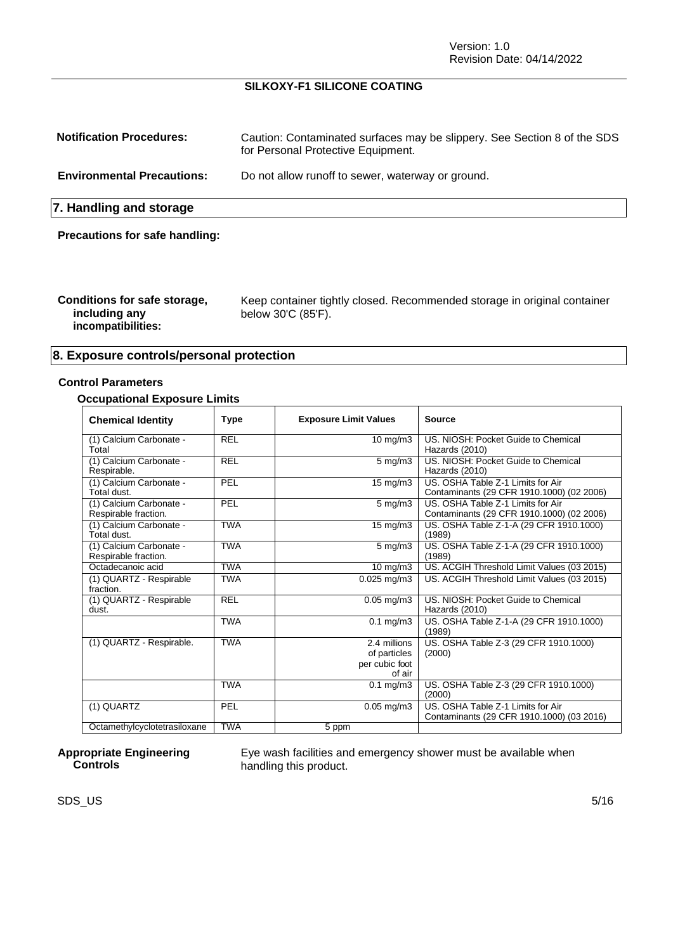Version: 1.0 Revision Date: 04/14/2022

#### **SILKOXY-F1 SILICONE COATING**

| <b>Notification Procedures:</b>       | Caution: Contaminated surfaces may be slippery. See Section 8 of the SDS<br>for Personal Protective Equipment. |  |
|---------------------------------------|----------------------------------------------------------------------------------------------------------------|--|
| <b>Environmental Precautions:</b>     | Do not allow runoff to sewer, waterway or ground.                                                              |  |
| 7. Handling and storage               |                                                                                                                |  |
| <b>Precautions for safe handling:</b> |                                                                                                                |  |

| Conditions for safe storage,<br>including any<br>incompatibilities: | Keep container tightly closed. Recommended storage in original container<br>below 30'C (85'F). |
|---------------------------------------------------------------------|------------------------------------------------------------------------------------------------|
|---------------------------------------------------------------------|------------------------------------------------------------------------------------------------|

#### **8. Exposure controls/personal protection**

#### **Control Parameters**

#### **Occupational Exposure Limits**

| <b>Chemical Identity</b>                        | <b>Type</b> | <b>Exposure Limit Values</b>                             | Source                                                                         |
|-------------------------------------------------|-------------|----------------------------------------------------------|--------------------------------------------------------------------------------|
| (1) Calcium Carbonate -<br>Total                | <b>REL</b>  | $10 \text{ mg/m}$                                        | US. NIOSH: Pocket Guide to Chemical<br>Hazards (2010)                          |
| (1) Calcium Carbonate -<br>Respirable.          | <b>REL</b>  | $5 \text{ mg/m}$ 3                                       | US. NIOSH: Pocket Guide to Chemical<br>Hazards (2010)                          |
| (1) Calcium Carbonate -<br>Total dust.          | PEL         | $15 \text{ mg/m}$                                        | US. OSHA Table Z-1 Limits for Air<br>Contaminants (29 CFR 1910.1000) (02 2006) |
| (1) Calcium Carbonate -<br>Respirable fraction. | PEL         | $5 \text{ mg/m}$ 3                                       | US. OSHA Table Z-1 Limits for Air<br>Contaminants (29 CFR 1910.1000) (02 2006) |
| (1) Calcium Carbonate -<br>Total dust.          | <b>TWA</b>  | 15 mg/m3                                                 | US. OSHA Table Z-1-A (29 CFR 1910.1000)<br>(1989)                              |
| (1) Calcium Carbonate -<br>Respirable fraction. | <b>TWA</b>  | $5 \text{ mg/m}$                                         | US. OSHA Table Z-1-A (29 CFR 1910.1000)<br>(1989)                              |
| Octadecanoic acid                               | <b>TWA</b>  | $10 \overline{\text{mg}}/\text{m}3$                      | US. ACGIH Threshold Limit Values (03 2015)                                     |
| (1) QUARTZ - Respirable<br>fraction.            | <b>TWA</b>  | $0.025$ mg/m $3$                                         | US. ACGIH Threshold Limit Values (03 2015)                                     |
| (1) QUARTZ - Respirable<br>dust.                | <b>REL</b>  | $0.05$ mg/m3                                             | US. NIOSH: Pocket Guide to Chemical<br>Hazards (2010)                          |
|                                                 | <b>TWA</b>  | $0.1 \text{ mg/m}$ 3                                     | US. OSHA Table Z-1-A (29 CFR 1910.1000)<br>(1989)                              |
| (1) QUARTZ - Respirable.                        | <b>TWA</b>  | 2.4 millions<br>of particles<br>per cubic foot<br>of air | US. OSHA Table Z-3 (29 CFR 1910.1000)<br>(2000)                                |
|                                                 | <b>TWA</b>  | $0.1$ mg/m $3$                                           | US. OSHA Table Z-3 (29 CFR 1910.1000)<br>(2000)                                |
| (1) QUARTZ                                      | PEL         | $0.05$ mg/m $3$                                          | US. OSHA Table Z-1 Limits for Air<br>Contaminants (29 CFR 1910.1000) (03 2016) |
| Octamethylcyclotetrasiloxane                    | <b>TWA</b>  | $\overline{5}$ ppm                                       |                                                                                |

#### **Appropriate Engineering Controls**

Eye wash facilities and emergency shower must be available when handling this product.

 $\mathsf{SDS}\_\mathsf{U}\mathsf{S}$  5/16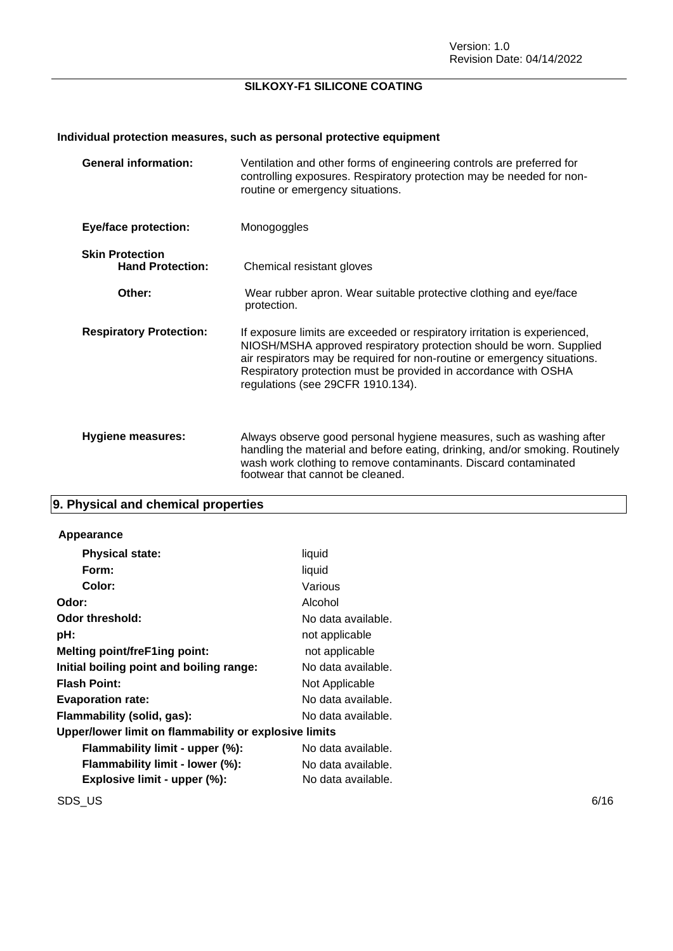## **Individual protection measures, such as personal protective equipment**

| <b>General information:</b>                       | Ventilation and other forms of engineering controls are preferred for<br>controlling exposures. Respiratory protection may be needed for non-<br>routine or emergency situations.                                                                                                                                                    |
|---------------------------------------------------|--------------------------------------------------------------------------------------------------------------------------------------------------------------------------------------------------------------------------------------------------------------------------------------------------------------------------------------|
| <b>Eye/face protection:</b>                       | Monogoggles                                                                                                                                                                                                                                                                                                                          |
| <b>Skin Protection</b><br><b>Hand Protection:</b> | Chemical resistant gloves                                                                                                                                                                                                                                                                                                            |
| Other:                                            | Wear rubber apron. Wear suitable protective clothing and eye/face<br>protection.                                                                                                                                                                                                                                                     |
| <b>Respiratory Protection:</b>                    | If exposure limits are exceeded or respiratory irritation is experienced,<br>NIOSH/MSHA approved respiratory protection should be worn. Supplied<br>air respirators may be required for non-routine or emergency situations.<br>Respiratory protection must be provided in accordance with OSHA<br>regulations (see 29CFR 1910.134). |
| <b>Hygiene measures:</b>                          | Always observe good personal hygiene measures, such as washing after<br>handling the material and before eating, drinking, and/or smoking. Routinely<br>wash work clothing to remove contaminants. Discard contaminated<br>footwear that cannot be cleaned.                                                                          |

## **9. Physical and chemical properties**

#### **Appearance**

| <b>Physical state:</b>                                | liquid             |  |  |
|-------------------------------------------------------|--------------------|--|--|
| Form:                                                 | liquid             |  |  |
| Color:                                                | Various            |  |  |
| Odor:                                                 | Alcohol            |  |  |
| Odor threshold:                                       | No data available. |  |  |
| pH:                                                   | not applicable     |  |  |
| <b>Melting point/freF1ing point:</b>                  | not applicable     |  |  |
| Initial boiling point and boiling range:              | No data available. |  |  |
| <b>Flash Point:</b>                                   | Not Applicable     |  |  |
| <b>Evaporation rate:</b>                              | No data available. |  |  |
| Flammability (solid, gas):                            | No data available. |  |  |
| Upper/lower limit on flammability or explosive limits |                    |  |  |
| Flammability limit - upper (%):                       | No data available. |  |  |
| Flammability limit - lower (%):                       | No data available. |  |  |
| Explosive limit - upper (%):                          | No data available. |  |  |
|                                                       |                    |  |  |

 $\mathsf{SDS\_US}$  6/16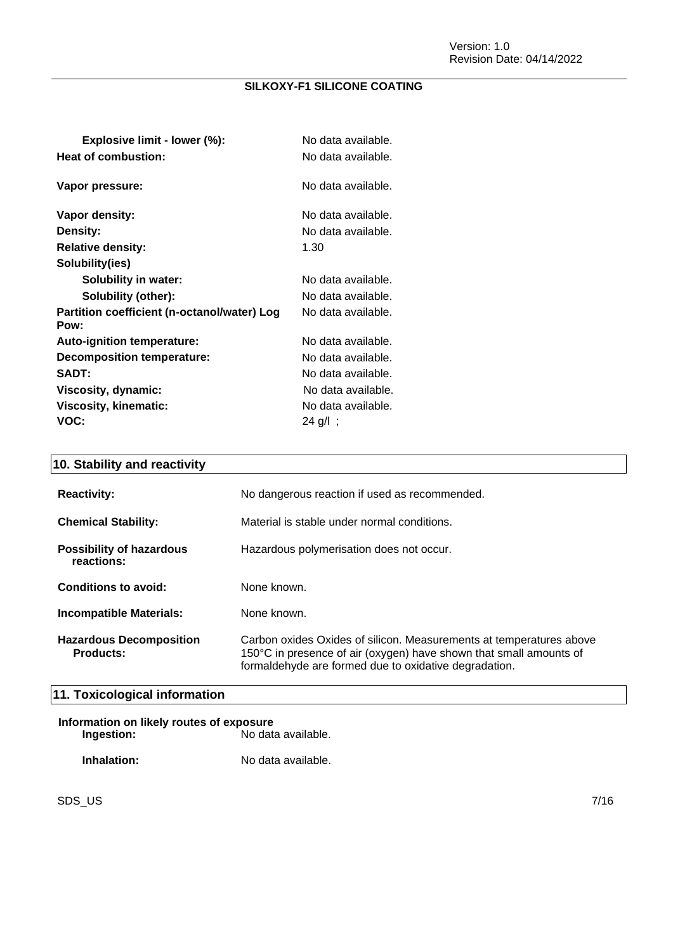| Explosive limit - lower (%):                        | No data available. |
|-----------------------------------------------------|--------------------|
| Heat of combustion:                                 | No data available. |
| Vapor pressure:                                     | No data available. |
| Vapor density:                                      | No data available. |
| Density:                                            | No data available. |
| <b>Relative density:</b>                            | 1.30               |
| Solubility(ies)                                     |                    |
| Solubility in water:                                | No data available. |
| Solubility (other):                                 | No data available. |
| Partition coefficient (n-octanol/water) Log<br>Pow: | No data available. |
| Auto-ignition temperature:                          | No data available. |
| <b>Decomposition temperature:</b>                   | No data available. |
| <b>SADT:</b>                                        | No data available. |
| Viscosity, dynamic:                                 | No data available. |
| Viscosity, kinematic:                               | No data available. |
| VOC:                                                | 24 g/l;            |

## **10. Stability and reactivity**

| <b>Reactivity:</b>                                 | No dangerous reaction if used as recommended.                                                                                                                                                      |
|----------------------------------------------------|----------------------------------------------------------------------------------------------------------------------------------------------------------------------------------------------------|
| <b>Chemical Stability:</b>                         | Material is stable under normal conditions.                                                                                                                                                        |
| <b>Possibility of hazardous</b><br>reactions:      | Hazardous polymerisation does not occur.                                                                                                                                                           |
| Conditions to avoid:                               | None known.                                                                                                                                                                                        |
| Incompatible Materials:                            | None known.                                                                                                                                                                                        |
| <b>Hazardous Decomposition</b><br><b>Products:</b> | Carbon oxides Oxides of silicon. Measurements at temperatures above<br>150°C in presence of air (oxygen) have shown that small amounts of<br>formaldehyde are formed due to oxidative degradation. |

## **11. Toxicological information**

| Information on likely routes of exposure |                    |  |
|------------------------------------------|--------------------|--|
| Ingestion:                               | No data available. |  |
| Inhalation:                              | No data available. |  |

SDS\_US 7/16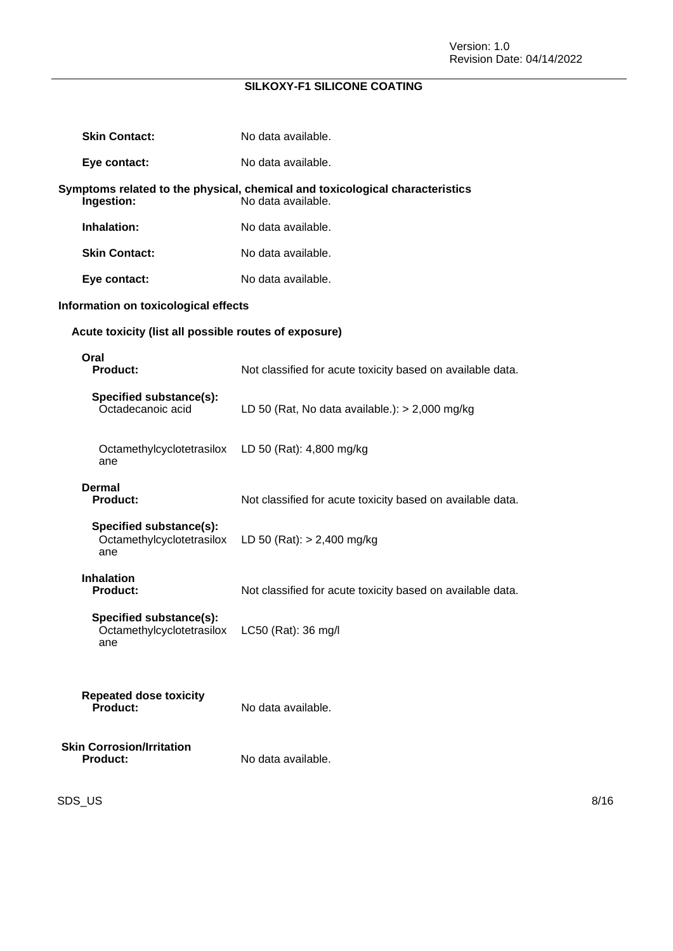| <b>Skin Contact:</b>                                        | No data available.                                                                                 |
|-------------------------------------------------------------|----------------------------------------------------------------------------------------------------|
| Eye contact:                                                | No data available.                                                                                 |
| Ingestion:                                                  | Symptoms related to the physical, chemical and toxicological characteristics<br>No data available. |
| Inhalation:                                                 | No data available.                                                                                 |
| <b>Skin Contact:</b>                                        | No data available.                                                                                 |
| Eye contact:                                                | No data available.                                                                                 |
| Information on toxicological effects                        |                                                                                                    |
| Acute toxicity (list all possible routes of exposure)       |                                                                                                    |
| Oral<br><b>Product:</b>                                     | Not classified for acute toxicity based on available data.                                         |
| Specified substance(s):<br>Octadecanoic acid                | LD 50 (Rat, No data available.): $>$ 2,000 mg/kg                                                   |
| Octamethylcyclotetrasilox<br>ane                            | LD 50 (Rat): 4,800 mg/kg                                                                           |
| <b>Dermal</b><br><b>Product:</b>                            | Not classified for acute toxicity based on available data.                                         |
| Specified substance(s):<br>Octamethylcyclotetrasilox<br>ane | LD 50 (Rat): $> 2,400$ mg/kg                                                                       |
| <b>Inhalation</b><br><b>Product:</b>                        | Not classified for acute toxicity based on available data.                                         |
| Specified substance(s):<br>Octamethylcyclotetrasilox<br>ane | LC50 (Rat): 36 mg/l                                                                                |
| <b>Repeated dose toxicity</b><br>Product:                   | No data available.                                                                                 |
| <b>Skin Corrosion/Irritation</b><br><b>Product:</b>         | No data available.                                                                                 |

 $\mathsf{SDS\_US}$  8/16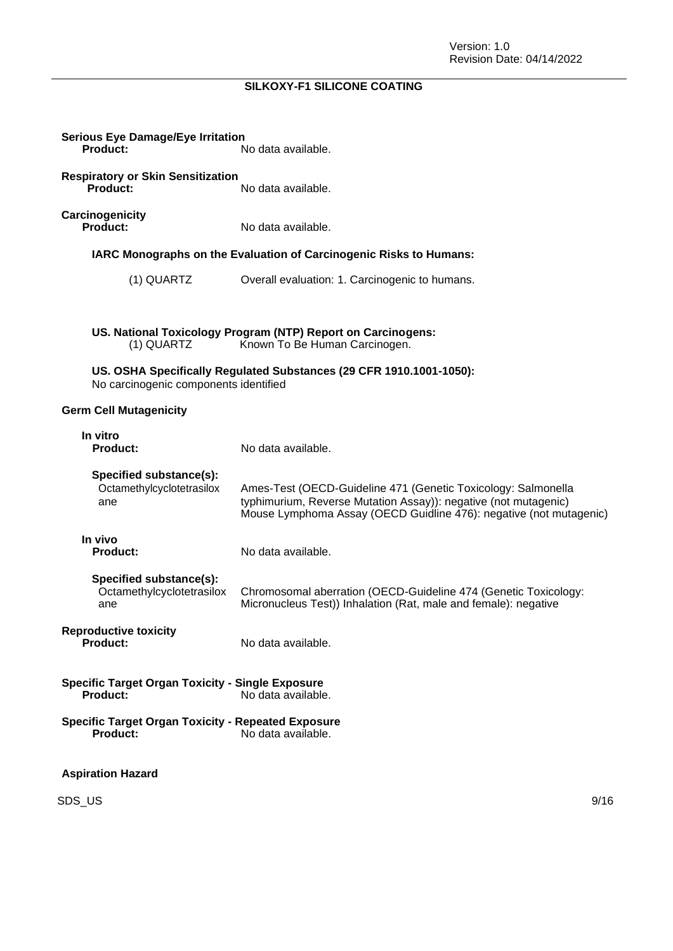| <b>Serious Eye Damage/Eye Irritation</b><br><b>Product:</b>                  | No data available.                                                                                                                                                                                     |
|------------------------------------------------------------------------------|--------------------------------------------------------------------------------------------------------------------------------------------------------------------------------------------------------|
| <b>Respiratory or Skin Sensitization</b><br>Product:                         | No data available.                                                                                                                                                                                     |
| Carcinogenicity<br>Product:                                                  | No data available.                                                                                                                                                                                     |
|                                                                              | IARC Monographs on the Evaluation of Carcinogenic Risks to Humans:                                                                                                                                     |
| (1) QUARTZ                                                                   | Overall evaluation: 1. Carcinogenic to humans.                                                                                                                                                         |
|                                                                              |                                                                                                                                                                                                        |
| (1) QUARTZ                                                                   | US. National Toxicology Program (NTP) Report on Carcinogens:<br>Known To Be Human Carcinogen.                                                                                                          |
| No carcinogenic components identified                                        | US. OSHA Specifically Regulated Substances (29 CFR 1910.1001-1050):                                                                                                                                    |
| <b>Germ Cell Mutagenicity</b>                                                |                                                                                                                                                                                                        |
| In vitro<br><b>Product:</b>                                                  | No data available.                                                                                                                                                                                     |
| Specified substance(s):<br>Octamethylcyclotetrasilox<br>ane                  | Ames-Test (OECD-Guideline 471 (Genetic Toxicology: Salmonella<br>typhimurium, Reverse Mutation Assay)): negative (not mutagenic)<br>Mouse Lymphoma Assay (OECD Guidline 476): negative (not mutagenic) |
| In vivo<br><b>Product:</b>                                                   | No data available.                                                                                                                                                                                     |
| Specified substance(s):<br>Octamethylcyclotetrasilox<br>ane                  | Chromosomal aberration (OECD-Guideline 474 (Genetic Toxicology:<br>Micronucleus Test)) Inhalation (Rat, male and female): negative                                                                     |
| <b>Reproductive toxicity</b><br>Product:                                     | No data available.                                                                                                                                                                                     |
| <b>Specific Target Organ Toxicity - Single Exposure</b><br>Product:          | No data available.                                                                                                                                                                                     |
| <b>Specific Target Organ Toxicity - Repeated Exposure</b><br><b>Product:</b> | No data available.                                                                                                                                                                                     |
| <b>Aspiration Hazard</b>                                                     |                                                                                                                                                                                                        |

SDS\_US 9/16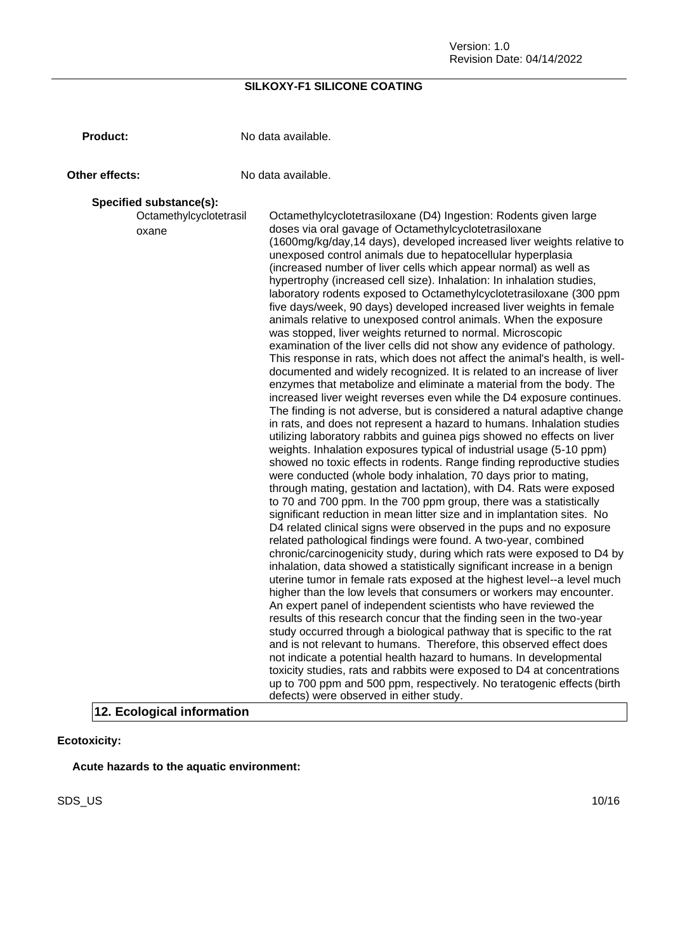**Product:** No data available.

**Other effects:** No data available.

#### **Specified substance(s):**

Octamethylcyclotetrasil oxane Octamethylcyclotetrasiloxane (D4) Ingestion: Rodents given large doses via oral gavage of Octamethylcyclotetrasiloxane (1600mg/kg/day,14 days), developed increased liver weights relative to unexposed control animals due to hepatocellular hyperplasia (increased number of liver cells which appear normal) as well as hypertrophy (increased cell size). Inhalation: In inhalation studies, laboratory rodents exposed to Octamethylcyclotetrasiloxane (300 ppm five days/week, 90 days) developed increased liver weights in female animals relative to unexposed control animals. When the exposure was stopped, liver weights returned to normal. Microscopic examination of the liver cells did not show any evidence of pathology. This response in rats, which does not affect the animal's health, is welldocumented and widely recognized. It is related to an increase of liver enzymes that metabolize and eliminate a material from the body. The increased liver weight reverses even while the D4 exposure continues. The finding is not adverse, but is considered a natural adaptive change in rats, and does not represent a hazard to humans. Inhalation studies utilizing laboratory rabbits and guinea pigs showed no effects on liver weights. Inhalation exposures typical of industrial usage (5-10 ppm) showed no toxic effects in rodents. Range finding reproductive studies were conducted (whole body inhalation, 70 days prior to mating, through mating, gestation and lactation), with D4. Rats were exposed to 70 and 700 ppm. In the 700 ppm group, there was a statistically significant reduction in mean litter size and in implantation sites. No D4 related clinical signs were observed in the pups and no exposure related pathological findings were found. A two-year, combined chronic/carcinogenicity study, during which rats were exposed to D4 by inhalation, data showed a statistically significant increase in a benign uterine tumor in female rats exposed at the highest level--a level much higher than the low levels that consumers or workers may encounter. An expert panel of independent scientists who have reviewed the results of this research concur that the finding seen in the two-year study occurred through a biological pathway that is specific to the rat and is not relevant to humans. Therefore, this observed effect does not indicate a potential health hazard to humans. In developmental toxicity studies, rats and rabbits were exposed to D4 at concentrations up to 700 ppm and 500 ppm, respectively. No teratogenic effects (birth defects) were observed in either study. **12. Ecological information**

**Ecotoxicity:**

**Acute hazards to the aquatic environment:**

SDS\_US 10/16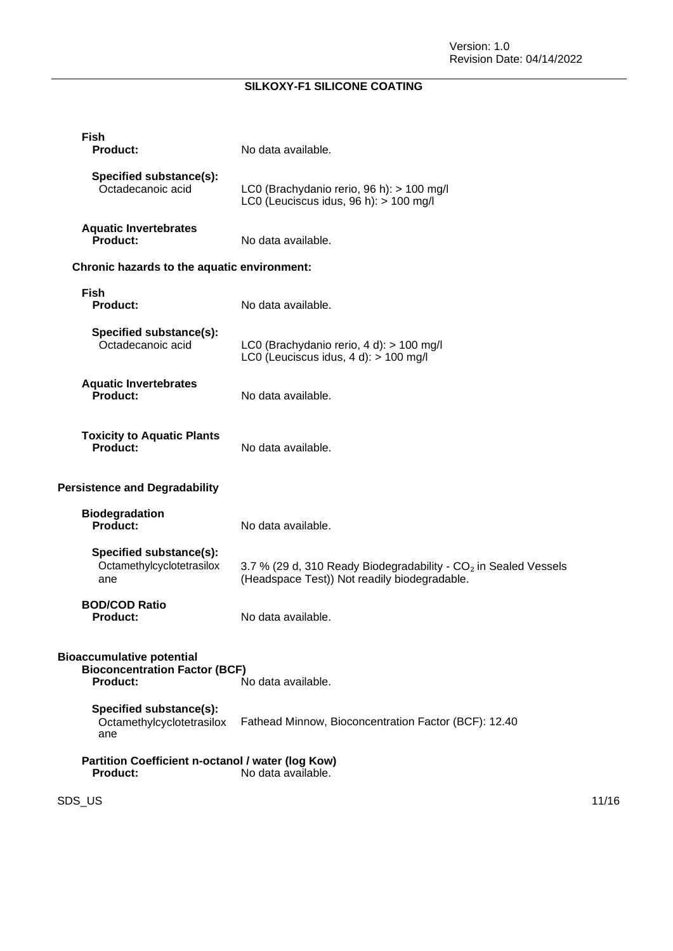| <b>Fish</b><br><b>Product:</b>                                                              | No data available.                                                                                                          |       |
|---------------------------------------------------------------------------------------------|-----------------------------------------------------------------------------------------------------------------------------|-------|
| Specified substance(s):<br>Octadecanoic acid                                                | LC0 (Brachydanio rerio, 96 h): > 100 mg/l<br>LC0 (Leuciscus idus, 96 h): > 100 mg/l                                         |       |
| <b>Aquatic Invertebrates</b><br>Product:                                                    | No data available.                                                                                                          |       |
| Chronic hazards to the aquatic environment:                                                 |                                                                                                                             |       |
| <b>Fish</b><br><b>Product:</b>                                                              | No data available.                                                                                                          |       |
| Specified substance(s):<br>Octadecanoic acid                                                | LC0 (Brachydanio rerio, 4 d): > 100 mg/l<br>LC0 (Leuciscus idus, $4 d$ ): $> 100$ mg/l                                      |       |
| <b>Aquatic Invertebrates</b><br><b>Product:</b>                                             | No data available.                                                                                                          |       |
| <b>Toxicity to Aquatic Plants</b><br>Product:                                               | No data available.                                                                                                          |       |
| <b>Persistence and Degradability</b>                                                        |                                                                                                                             |       |
| <b>Biodegradation</b><br>Product:                                                           | No data available.                                                                                                          |       |
| Specified substance(s):<br>Octamethylcyclotetrasilox<br>ane                                 | 3.7 % (29 d, 310 Ready Biodegradability - CO <sub>2</sub> in Sealed Vessels<br>(Headspace Test)) Not readily biodegradable. |       |
| <b>BOD/COD Ratio</b><br><b>Product:</b>                                                     | No data available.                                                                                                          |       |
| <b>Bioaccumulative potential</b><br><b>Bioconcentration Factor (BCF)</b><br><b>Product:</b> | No data available.                                                                                                          |       |
| Specified substance(s):<br>Octamethylcyclotetrasilox<br>ane                                 | Fathead Minnow, Bioconcentration Factor (BCF): 12.40                                                                        |       |
| Partition Coefficient n-octanol / water (log Kow)<br><b>Product:</b>                        | No data available.                                                                                                          |       |
| SDS_US                                                                                      |                                                                                                                             | 11/16 |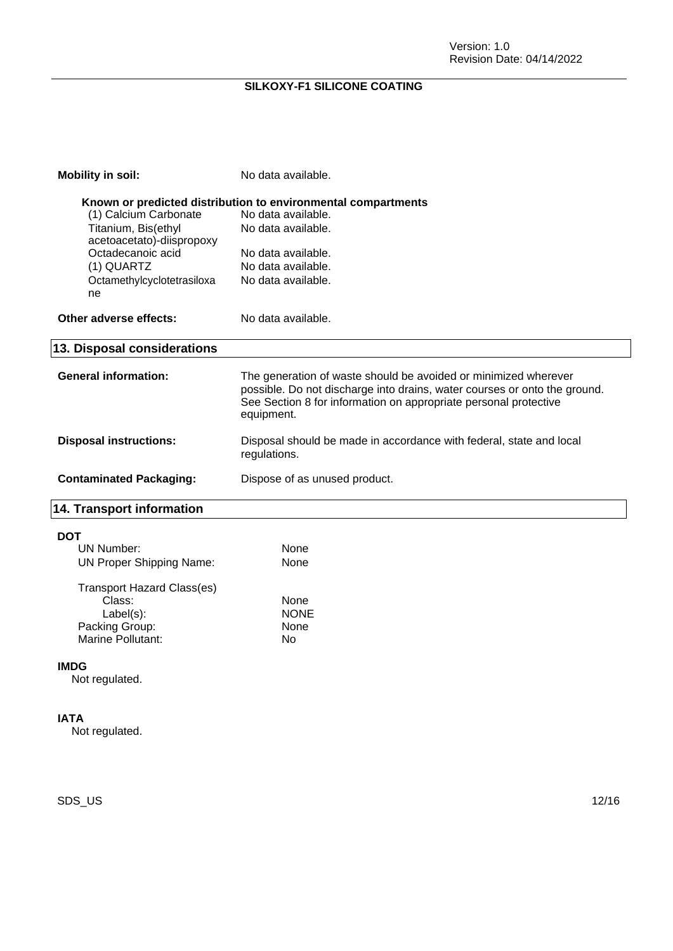| <b>Mobility in soil:</b>                         | No data available.                                                                                                                                                                                                             |
|--------------------------------------------------|--------------------------------------------------------------------------------------------------------------------------------------------------------------------------------------------------------------------------------|
|                                                  | Known or predicted distribution to environmental compartments                                                                                                                                                                  |
| (1) Calcium Carbonate                            | No data available.                                                                                                                                                                                                             |
| Titanium, Bis(ethyl<br>acetoacetato)-diispropoxy | No data available.                                                                                                                                                                                                             |
| Octadecanoic acid                                | No data available.                                                                                                                                                                                                             |
| (1) QUARTZ                                       | No data available.                                                                                                                                                                                                             |
| Octamethylcyclotetrasiloxa<br>ne                 | No data available.                                                                                                                                                                                                             |
| Other adverse effects:                           | No data available.                                                                                                                                                                                                             |
| 13. Disposal considerations                      |                                                                                                                                                                                                                                |
| <b>General information:</b>                      | The generation of waste should be avoided or minimized wherever<br>possible. Do not discharge into drains, water courses or onto the ground.<br>See Section 8 for information on appropriate personal protective<br>equipment. |
| <b>Disposal instructions:</b>                    | Disposal should be made in accordance with federal, state and local<br>regulations.                                                                                                                                            |
| <b>Contaminated Packaging:</b>                   | Dispose of as unused product.                                                                                                                                                                                                  |
| <b>14. Transport information</b>                 |                                                                                                                                                                                                                                |
| <b>DOT</b>                                       |                                                                                                                                                                                                                                |
| <b>UN Number:</b>                                | None                                                                                                                                                                                                                           |
| <b>UN Proper Shipping Name:</b>                  | None                                                                                                                                                                                                                           |
| Transport Hazard Class(es)                       |                                                                                                                                                                                                                                |

| <u>Hansport Hazard Oldssics</u> |             |
|---------------------------------|-------------|
| Class:                          | None        |
| $Label(s)$ :                    | <b>NONE</b> |
| Packing Group:                  | None        |
| Marine Pollutant:               | N٥          |
|                                 |             |

### **IMDG**

Not regulated.

#### **IATA**

Not regulated.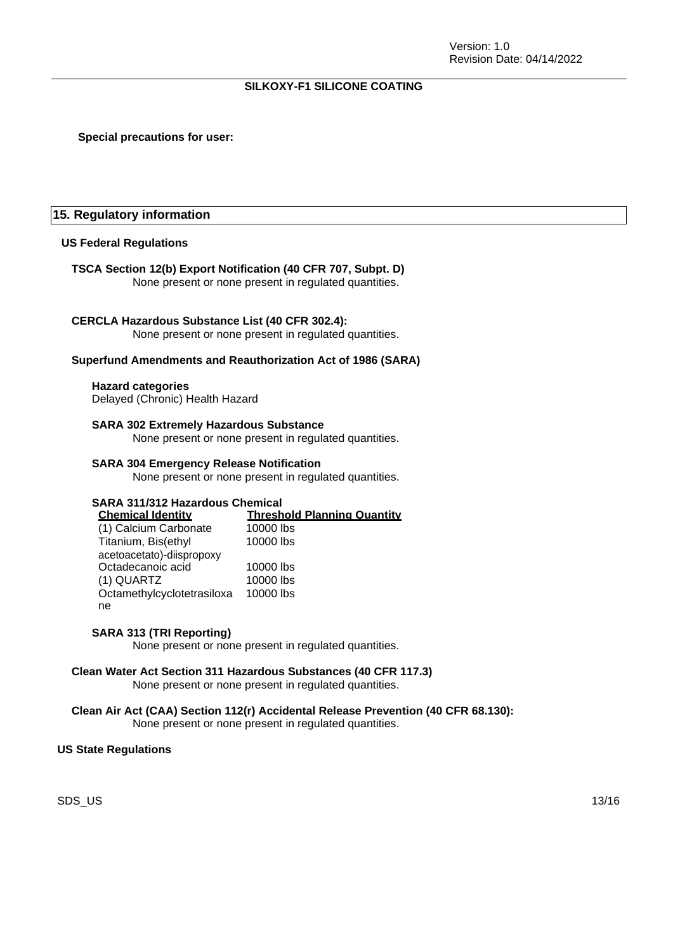#### **Special precautions for user:**

#### **15. Regulatory information**

#### **US Federal Regulations**

#### **TSCA Section 12(b) Export Notification (40 CFR 707, Subpt. D)**

None present or none present in regulated quantities.

#### **CERCLA Hazardous Substance List (40 CFR 302.4):**

None present or none present in regulated quantities.

#### **Superfund Amendments and Reauthorization Act of 1986 (SARA)**

#### **Hazard categories**

Delayed (Chronic) Health Hazard

#### **SARA 302 Extremely Hazardous Substance**

None present or none present in regulated quantities.

#### **SARA 304 Emergency Release Notification**

None present or none present in regulated quantities.

## **SARA 311/312 Hazardous Chemical**

**Threshold Planning Quantity**<br>10000 lbs (1) Calcium Carbonate Titanium, Bis(ethyl 10000 lbs

| acetoacetato)-diispropoxy  |           |
|----------------------------|-----------|
| Octadecanoic acid          | 10000 lbs |
| (1) QUARTZ                 | 10000 lbs |
| Octamethylcyclotetrasiloxa | 10000 lbs |
| ne                         |           |

#### **SARA 313 (TRI Reporting)**

None present or none present in regulated quantities.

#### **Clean Water Act Section 311 Hazardous Substances (40 CFR 117.3)** None present or none present in regulated quantities.

## **Clean Air Act (CAA) Section 112(r) Accidental Release Prevention (40 CFR 68.130):**

None present or none present in regulated quantities.

#### **US State Regulations**

SDS\_US 13/16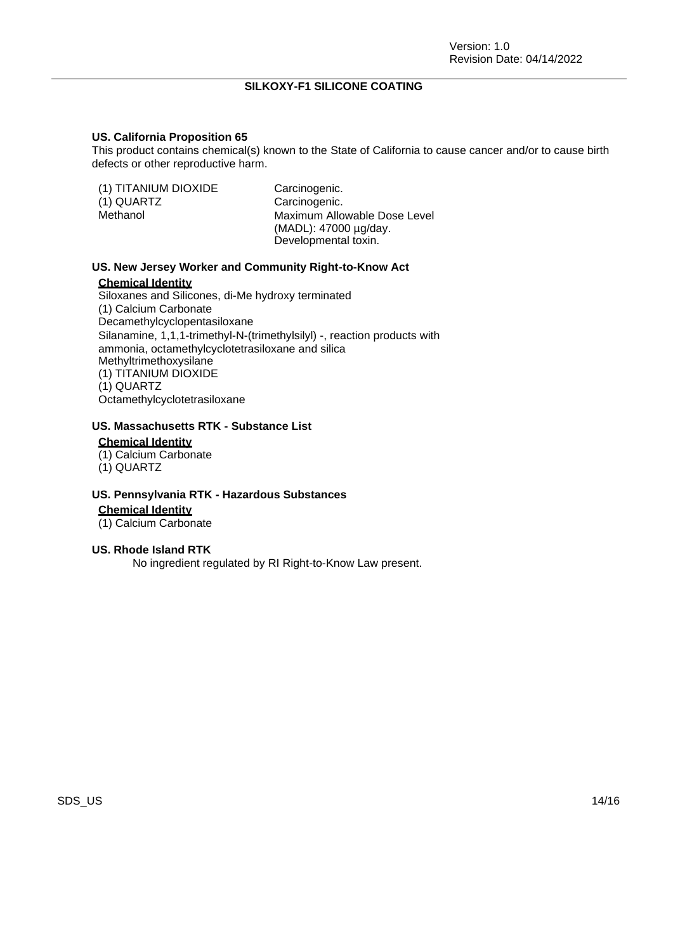#### **US. California Proposition 65**

This product contains chemical(s) known to the State of California to cause cancer and/or to cause birth defects or other reproductive harm.

| (1) TITANIUM DIOXIDE<br>(1) QUARTZ<br>Methanol | Carcinogenic.<br>Carcinogenic.<br>Maximum Allowable Dose Level<br>(MADL): 47000 µg/day. |
|------------------------------------------------|-----------------------------------------------------------------------------------------|
|                                                | Developmental toxin.                                                                    |

#### **US. New Jersey Worker and Community Right-to-Know Act**

#### **Chemical Identity**

Siloxanes and Silicones, di-Me hydroxy terminated (1) Calcium Carbonate Decamethylcyclopentasiloxane Silanamine, 1,1,1-trimethyl-N-(trimethylsilyl) -, reaction products with ammonia, octamethylcyclotetrasiloxane and silica Methyltrimethoxysilane (1) TITANIUM DIOXIDE (1) QUARTZ Octamethylcyclotetrasiloxane

## **US. Massachusetts RTK - Substance List**

## **Chemical Identity**

- (1) Calcium Carbonate
- (1) QUARTZ

#### **US. Pennsylvania RTK - Hazardous Substances**

**Chemical Identity**

(1) Calcium Carbonate

#### **US. Rhode Island RTK**

No ingredient regulated by RI Right-to-Know Law present.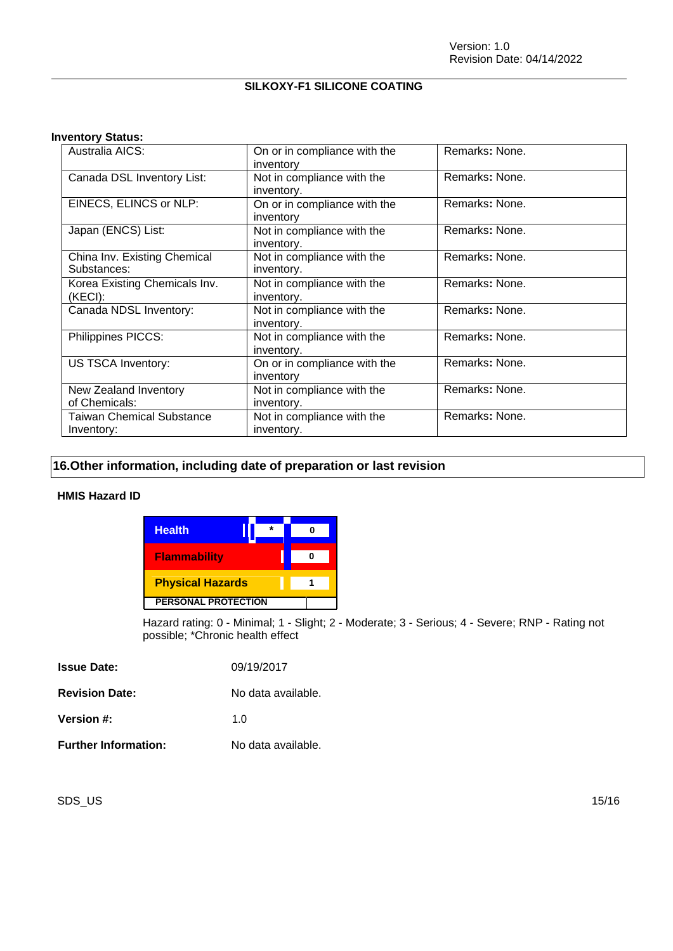#### **Inventory Status:**

| Australia AICS:                                | On or in compliance with the<br>inventory | Remarks: None. |
|------------------------------------------------|-------------------------------------------|----------------|
| Canada DSL Inventory List:                     | Not in compliance with the<br>inventory.  | Remarks: None. |
| EINECS, ELINCS or NLP:                         | On or in compliance with the<br>inventory | Remarks: None. |
| Japan (ENCS) List:                             | Not in compliance with the<br>inventory.  | Remarks: None. |
| China Inv. Existing Chemical<br>Substances:    | Not in compliance with the<br>inventory.  | Remarks: None. |
| Korea Existing Chemicals Inv.<br>(KECI):       | Not in compliance with the<br>inventory.  | Remarks: None. |
| Canada NDSL Inventory:                         | Not in compliance with the<br>inventory.  | Remarks: None. |
| Philippines PICCS:                             | Not in compliance with the<br>inventory.  | Remarks: None. |
| US TSCA Inventory:                             | On or in compliance with the<br>inventory | Remarks: None. |
| New Zealand Inventory<br>of Chemicals:         | Not in compliance with the<br>inventory.  | Remarks: None. |
| <b>Taiwan Chemical Substance</b><br>Inventory: | Not in compliance with the<br>inventory.  | Remarks: None. |

## **16.Other information, including date of preparation or last revision**

#### **HMIS Hazard ID**

| <b>Health</b>              |  |  |
|----------------------------|--|--|
| <b>Flammability</b>        |  |  |
| <b>Physical Hazards</b>    |  |  |
| <b>PERSONAL PROTECTION</b> |  |  |

Hazard rating: 0 - Minimal; 1 - Slight; 2 - Moderate; 3 - Serious; 4 - Severe; RNP - Rating not possible; \*Chronic health effect

| <b>Issue Date:</b>          | 09/19/2017         |
|-----------------------------|--------------------|
| <b>Revision Date:</b>       | No data available. |
| Version #:                  | 1 O                |
| <b>Further Information:</b> | No data available. |